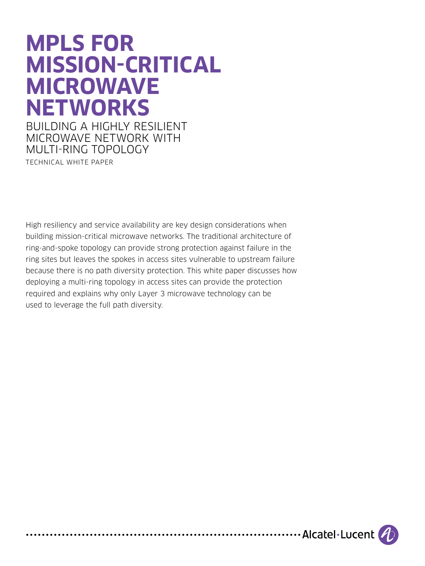# **MPLS FOR MISSION-CRITICAL MICROWAVE NETWORKS**

BUILDING A HIGHLY RESILIENT MICROWAVE NETWORK WITH MULTI-RING TOPOLOGY TECHNICAL WHITE PAPER

High resiliency and service availability are key design considerations when building mission-critical microwave networks. The traditional architecture of ring-and-spoke topology can provide strong protection against failure in the ring sites but leaves the spokes in access sites vulnerable to upstream failure because there is no path diversity protection. This white paper discusses how deploying a multi-ring topology in access sites can provide the protection required and explains why only Layer 3 microwave technology can be used to leverage the full path diversity.

....................... Alcatel . Lucent (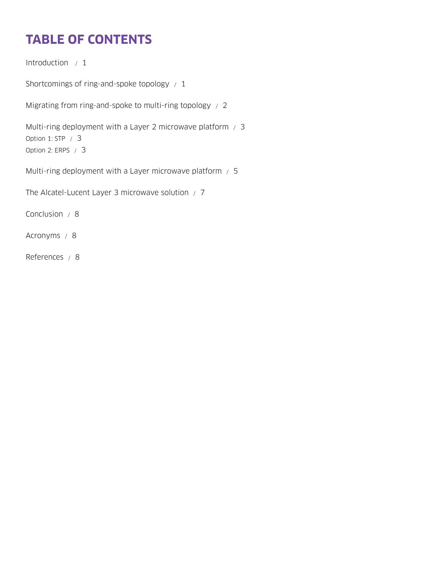# **TABLE OF CONTENTS**

[Introduction / 1](#page-2-0)

[Shortcomings of ring-and-spoke topology / 1](#page-2-0)

[Migrating from ring-and-spoke to multi-ring topology / 2](#page-3-0)

[Multi-ring deployment with a Layer 2 microwave platform / 3](#page-4-0) [Option 1: STP / 3](#page-4-0) [Option 2: ERPS / 3](#page-4-0)

[Multi-ring deployment with a Layer microwave platform / 5](#page-6-0)

[The Alcatel-Lucent Layer 3 microwave solution / 7](#page-8-0)

[Conclusion / 8](#page-9-0)

[Acronyms / 8](#page-9-0)

[References / 8](#page-9-0)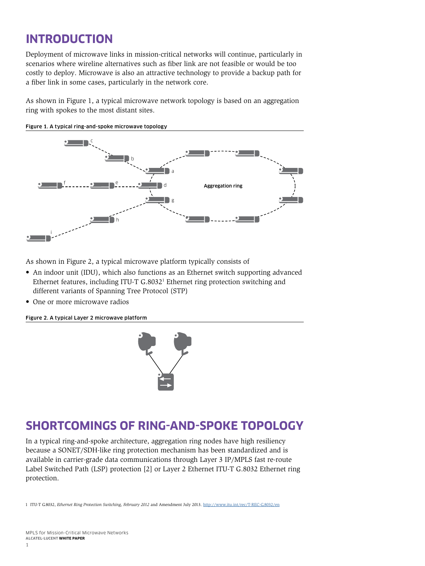# <span id="page-2-0"></span>**INTRODUCTION**

Deployment of microwave links in mission-critical networks will continue, particularly in scenarios where wireline alternatives such as fiber link are not feasible or would be too costly to deploy. Microwave is also an attractive technology to provide a backup path for a fiber link in some cases, particularly in the network core.

As shown in Figure 1, a typical microwave network topology is based on an aggregation ring with spokes to the most distant sites.



Figure 1. A typical ring-and-spoke microwave topology

As shown in Figure 2, a typical microwave platform typically consists of

- An indoor unit (IDU), which also functions as an Ethernet switch supporting advanced Ethernet features, including ITU-T G.8032<sup>1</sup> Ethernet ring protection switching and different variants of Spanning Tree Protocol (STP)
- One or more microwave radios

Figure 2. A typical Layer 2 microwave platform



## **SHORTCOMINGS OF RING-AND-SPOKE TOPOLOGY**

In a typical ring-and-spoke architecture, aggregation ring nodes have high resiliency because a SONET/SDH-like ring protection mechanism has been standardized and is available in carrier-grade data communications through Layer 3 IP/MPLS fast re-route Label Switched Path (LSP) protection [2] or Layer 2 Ethernet ITU-T G.8032 Ethernet ring protection.

1 ITU-T G.8032, *Ethernet Ring Protection Switching, February 2012* and Amendment July 2013. <http://www.itu.int/rec/T-REC-G.8032/en>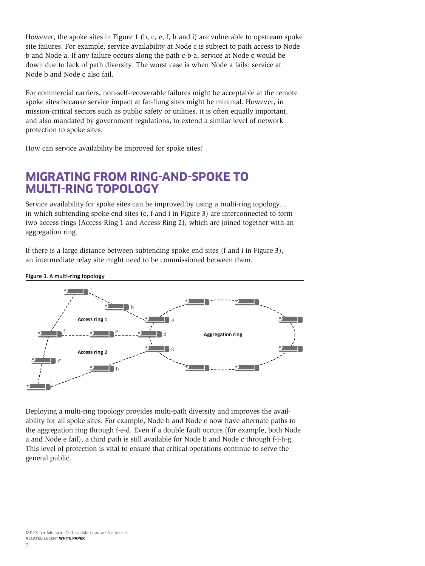<span id="page-3-0"></span>However, the spoke sites in Figure 1 (b, c, e, f, h and i) are vulnerable to upstream spoke site failures. For example, service availability at Node c is subject to path access to Node b and Node a. If any failure occurs along the path c-b-a, service at Node c would be down due to lack of path diversity. The worst case is when Node a fails: service at Node b and Node c also fail.

For commercial carriers, non-self-recoverable failures might be acceptable at the remote spoke sites because service impact at far-flung sites might be minimal. However, in mission-critical sectors such as public safety or utilities, it is often equally important, and also mandated by government regulations, to extend a similar level of network protection to spoke sites.

How can service availability be improved for spoke sites?

### **MIGRATING FROM RING-AND-SPOKE TO MULTI-RING TOPOLOGY**

Service availability for spoke sites can be improved by using a multi-ring topology, , in which subtending spoke end sites (c, f and i in Figure 3) are interconnected to form two access rings (Access Ring 1 and Access Ring 2), which are joined together with an aggregation ring.

If there is a large distance between subtending spoke end sites (f and i in Figure 3), an intermediate relay site might need to be commissioned between them.

Access ring 1 Aggregation ring f' <sup>f</sup> <sup>e</sup> <sup>d</sup> i h g a b c Access ring 2

Deploying a multi-ring topology provides multi-path diversity and improves the availability for all spoke sites. For example, Node b and Node c now have alternate paths to the aggregation ring through f-e-d. Even if a double fault occurs (for example, both Node a and Node e fail), a third path is still available for Node b and Node c through f-i-h-g. This level of protection is vital to ensure that critical operations continue to serve the general public.

Figure 3. A multi-ring topology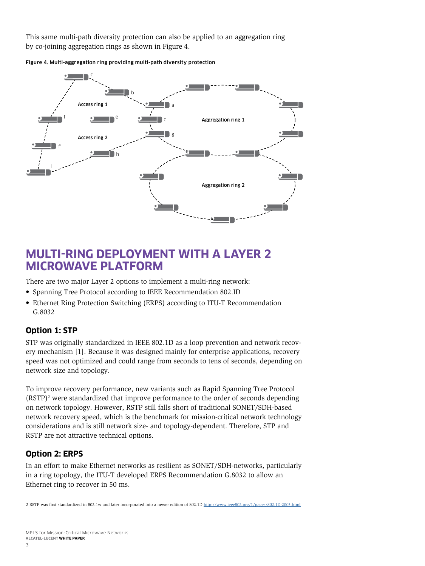<span id="page-4-0"></span>This same multi-path diversity protection can also be applied to an aggregation ring by co-joining aggregation rings as shown in Figure 4.

Figure 4. Multi-aggregation ring providing multi-path diversity protection



### **MULTI-RING DEPLOYMENT WITH A LAYER 2 MICROWAVE PLATFORM**

There are two major Layer 2 options to implement a multi-ring network:

- Spanning Tree Protocol according to IEEE Recommendation 802.ID
- Ethernet Ring Protection Switching (ERPS) according to ITU-T Recommendation G.8032

#### **Option 1: STP**

STP was originally standardized in IEEE 802.1D as a loop prevention and network recovery mechanism [1]. Because it was designed mainly for enterprise applications, recovery speed was not optimized and could range from seconds to tens of seconds, depending on network size and topology.

To improve recovery performance, new variants such as Rapid Spanning Tree Protocol  $(RSTP)<sup>2</sup>$  were standardized that improve performance to the order of seconds depending on network topology. However, RSTP still falls short of traditional SONET/SDH-based network recovery speed, which is the benchmark for mission-critical network technology considerations and is still network size- and topology-dependent. Therefore, STP and RSTP are not attractive technical options.

#### **Option 2: ERPS**

In an effort to make Ethernet networks as resilient as SONET/SDH-networks, particularly in a ring topology, the ITU-T developed ERPS Recommendation G.8032 to allow an Ethernet ring to recover in 50 ms.

2 RSTP was first standardized in 802.1w and later incorporated into a newer edition of 802.1D <http://www.ieee802.org/1/pages/802.1D-2003.html>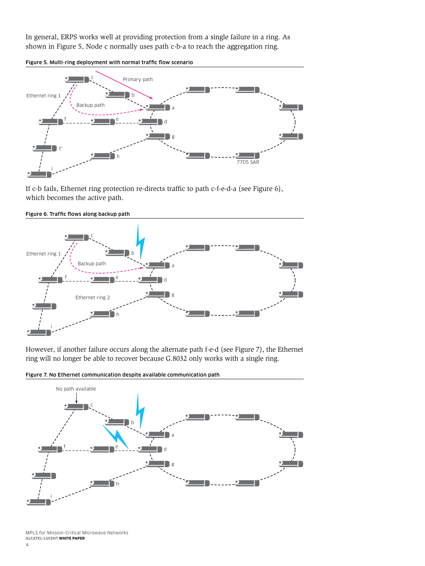In general, ERPS works well at providing protection from a single failure in a ring. As shown in Figure 5, Node c normally uses path c-b-a to reach the aggregation ring.





If c-b fails, Ethernet ring protection re-directs traffic to path c-f-e-d-a (see Figure 6), which becomes the active path.



Figure 6. Traffic flows along backup path

However, if another failure occurs along the alternate path f-e-d (see Figure 7), the Ethernet ring will no longer be able to recover because G.8032 only works with a single ring.

Figure 7. No Ethernet communication despite available communication path



MPLS for Mission-Critical Microwave Networks **ALCATEL-LUCENT WHITE PAPER**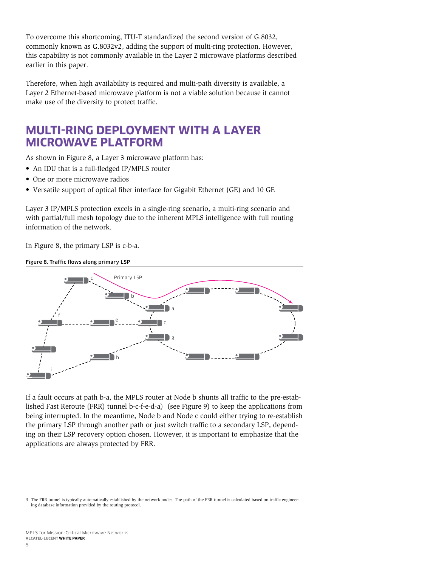<span id="page-6-0"></span>To overcome this shortcoming, ITU-T standardized the second version of G.8032, commonly known as G.8032v2, adding the support of multi-ring protection. However, this capability is not commonly available in the Layer 2 microwave platforms described earlier in this paper.

Therefore, when high availability is required and multi-path diversity is available, a Layer 2 Ethernet-based microwave platform is not a viable solution because it cannot make use of the diversity to protect traffic.

### **MULTI-RING DEPLOYMENT WITH A LAYER MICROWAVE PLATFORM**

As shown in Figure 8, a Layer 3 microwave platform has:

- An IDU that is a full-fledged IP/MPLS router
- One or more microwave radios
- Versatile support of optical fiber interface for Gigabit Ethernet (GE) and 10 GE

Layer 3 IP/MPLS protection excels in a single-ring scenario, a multi-ring scenario and with partial/full mesh topology due to the inherent MPLS intelligence with full routing information of the network.

In Figure 8, the primary LSP is c-b-a.





If a fault occurs at path b-a, the MPLS router at Node b shunts all traffic to the pre-established Fast Reroute (FRR) tunnel b-c-f-e-d-a) (see Figure 9) to keep the applications from being interrupted. In the meantime, Node b and Node c could either trying to re-establish the primary LSP through another path or just switch traffic to a secondary LSP, depending on their LSP recovery option chosen. However, it is important to emphasize that the applications are always protected by FRR.

<sup>3</sup> The FRR tunnel is typically automatically established by the network nodes. The path of the FRR tunnel is calculated based on traffic engineering database information provided by the routing protocol.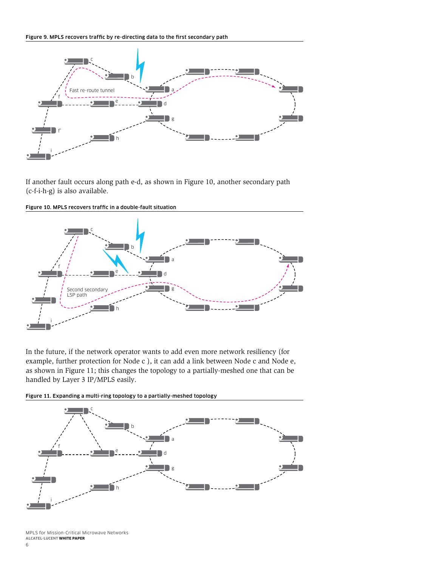

If another fault occurs along path e-d, as shown in Figure 10, another secondary path (c-f-i-h-g) is also available.



Figure 10. MPLS recovers traffic in a double-fault situation

In the future, if the network operator wants to add even more network resiliency (for example, further protection for Node c ), it can add a link between Node c and Node e, as shown in Figure 11; this changes the topology to a partially-meshed one that can be handled by Layer 3 IP/MPLS easily.

Figure 11. Expanding a multi-ring topology to a partially-meshed topology



MPLS for Mission-Critical Microwave Networks **ALCATEL-LUCENT WHITE PAPER**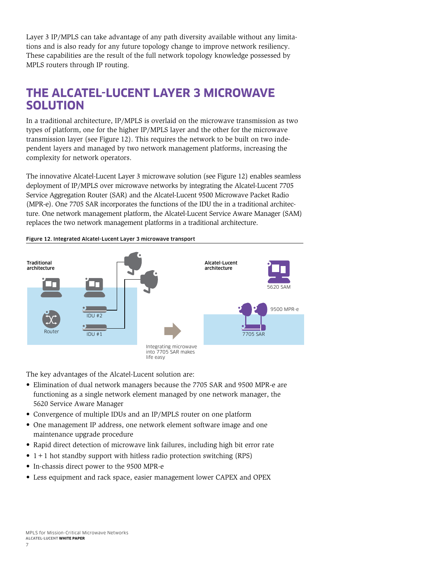<span id="page-8-0"></span>Layer 3 IP/MPLS can take advantage of any path diversity available without any limitations and is also ready for any future topology change to improve network resiliency. These capabilities are the result of the full network topology knowledge possessed by MPLS routers through IP routing.

### **THE ALCATEL-LUCENT LAYER 3 MICROWAVE SOLUTION**

In a traditional architecture, IP/MPLS is overlaid on the microwave transmission as two types of platform, one for the higher IP/MPLS layer and the other for the microwave transmission layer (see Figure 12). This requires the network to be built on two independent layers and managed by two network management platforms, increasing the complexity for network operators.

The innovative Alcatel-Lucent Layer 3 microwave solution (see Figure 12) enables seamless deployment of IP/MPLS over microwave networks by integrating the Alcatel-Lucent 7705 Service Aggregation Router (SAR) and the Alcatel-Lucent 9500 Microwave Packet Radio (MPR-e). One 7705 SAR incorporates the functions of the IDU the in a traditional architecture. One network management platform, the Alcatel-Lucent Service Aware Manager (SAM) replaces the two network management platforms in a traditional architecture.



Figure 12. Integrated Alcatel-Lucent Layer 3 microwave transport

The key advantages of the Alcatel-Lucent solution are:

- Elimination of dual network managers because the 7705 SAR and 9500 MPR-e are functioning as a single network element managed by one network manager, the 5620 Service Aware Manager
- Convergence of multiple IDUs and an IP/MPLS router on one platform
- One management IP address, one network element software image and one maintenance upgrade procedure
- Rapid direct detection of microwave link failures, including high bit error rate
- $\bullet$  1 + 1 hot standby support with hitless radio protection switching (RPS)
- In-chassis direct power to the 9500 MPR-e
- Less equipment and rack space, easier management lower CAPEX and OPEX